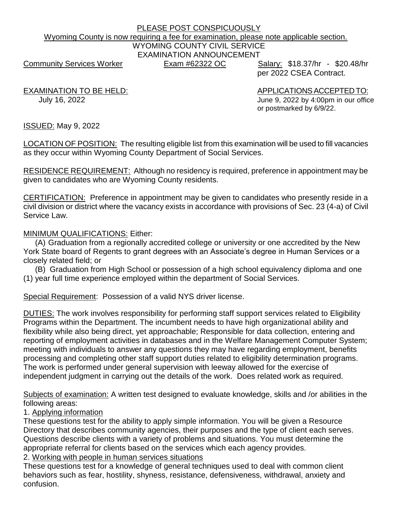# PLEASE POST CONSPICUOUSLY Wyoming County is now requiring a fee for examination, please note applicable section. WYOMING COUNTY CIVIL SERVICE EXAMINATION ANNOUNCEMENT Community Services Worker **Exam #62322 OC** Salary: \$18.37/hr - \$20.48/hr

per 2022 CSEA Contract.

EXAMINATION TO BE HELD: APPLICATIONS ACCEPTED TO: July 16, 2022 June 9, 2022 by 4:00pm in our office or postmarked by 6/9/22.

ISSUED: May 9, 2022

LOCATION OF POSITION: The resulting eligible list from this examination will be used to fill vacancies as they occur within Wyoming County Department of Social Services.

RESIDENCE REQUIREMENT: Although no residency is required, preference in appointment may be given to candidates who are Wyoming County residents.

CERTIFICATION: Preference in appointment may be given to candidates who presently reside in a civil division or district where the vacancy exists in accordance with provisions of Sec. 23 (4-a) of Civil Service Law.

MINIMUM QUALIFICATIONS: Either:

(A) Graduation from a regionally accredited college or university or one accredited by the New York State board of Regents to grant degrees with an Associate's degree in Human Services or a closely related field; or

(B) Graduation from High School or possession of a high school equivalency diploma and one (1) year full time experience employed within the department of Social Services.

Special Requirement: Possession of a valid NYS driver license.

DUTIES: The work involves responsibility for performing staff support services related to Eligibility Programs within the Department. The incumbent needs to have high organizational ability and flexibility while also being direct, yet approachable; Responsible for data collection, entering and reporting of employment activities in databases and in the Welfare Management Computer System; meeting with individuals to answer any questions they may have regarding employment, benefits processing and completing other staff support duties related to eligibility determination programs. The work is performed under general supervision with leeway allowed for the exercise of independent judgment in carrying out the details of the work. Does related work as required.

Subjects of examination: A written test designed to evaluate knowledge, skills and /or abilities in the following areas:

1. Applying information

These questions test for the ability to apply simple information. You will be given a Resource Directory that describes community agencies, their purposes and the type of client each serves. Questions describe clients with a variety of problems and situations. You must determine the appropriate referral for clients based on the services which each agency provides.

2. Working with people in human services situations

These questions test for a knowledge of general techniques used to deal with common client behaviors such as fear, hostility, shyness, resistance, defensiveness, withdrawal, anxiety and confusion.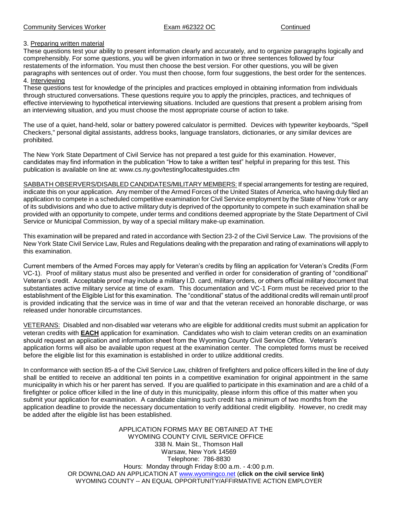# 3. Preparing written material

These questions test your ability to present information clearly and accurately, and to organize paragraphs logically and comprehensibly. For some questions, you will be given information in two or three sentences followed by four restatements of the information. You must then choose the best version. For other questions, you will be given paragraphs with sentences out of order. You must then choose, form four suggestions, the best order for the sentences. 4. Interviewing

These questions test for knowledge of the principles and practices employed in obtaining information from individuals through structured conversations. These questions require you to apply the principles, practices, and techniques of effective interviewing to hypothetical interviewing situations. Included are questions that present a problem arising from an interviewing situation, and you must choose the most appropriate course of action to take.

The use of a quiet, hand-held, solar or battery powered calculator is permitted. Devices with typewriter keyboards, "Spell Checkers," personal digital assistants, address books, language translators, dictionaries, or any similar devices are prohibited.

The New York State Department of Civil Service has not prepared a test guide for this examination. However, candidates may find information in the publication "How to take a written test" helpful in preparing for this test. This publication is available on line at: www.cs.ny.gov/testing/localtestguides.cfm

SABBATH OBSERVERS/DISABLED CANDIDATES/MILITARY MEMBERS: If special arrangements for testing are required, indicate this on your application. Any member of the Armed Forces of the United States of America, who having duly filed an application to compete in a scheduled competitive examination for Civil Service employment by the State of New York or any of its subdivisions and who due to active military duty is deprived of the opportunity to compete in such examination shall be provided with an opportunity to compete, under terms and conditions deemed appropriate by the State Department of Civil Service or Municipal Commission, by way of a special military make-up examination.

This examination will be prepared and rated in accordance with Section 23-2 of the Civil Service Law. The provisions of the New York State Civil Service Law, Rules and Regulations dealing with the preparation and rating of examinations will apply to this examination.

Current members of the Armed Forces may apply for Veteran's credits by filing an application for Veteran's Credits (Form VC-1). Proof of military status must also be presented and verified in order for consideration of granting of "conditional" Veteran's credit. Acceptable proof may include a military I.D. card, military orders, or others official military document that substantiates active military service at time of exam. This documentation and VC-1 Form must be received prior to the establishment of the Eligible List for this examination. The "conditional" status of the additional credits will remain until proof is provided indicating that the service was in time of war and that the veteran received an honorable discharge, or was released under honorable circumstances.

VETERANS: Disabled and non-disabled war veterans who are eligible for additional credits must submit an application for veteran credits with **EACH** application for examination. Candidates who wish to claim veteran credits on an examination should request an application and information sheet from the Wyoming County Civil Service Office. Veteran's application forms will also be available upon request at the examination center. The completed forms must be received before the eligible list for this examination is established in order to utilize additional credits.

In conformance with section 85-a of the Civil Service Law, children of firefighters and police officers killed in the line of duty shall be entitled to receive an additional ten points in a competitive examination for original appointment in the same municipality in which his or her parent has served. If you are qualified to participate in this examination and are a child of a firefighter or police officer killed in the line of duty in this municipality, please inform this office of this matter when you submit your application for examination. A candidate claiming such credit has a minimum of two months from the application deadline to provide the necessary documentation to verify additional credit eligibility. However, no credit may be added after the eligible list has been established.

> APPLICATION FORMS MAY BE OBTAINED AT THE WYOMING COUNTY CIVIL SERVICE OFFICE 338 N. Main St., Thomson Hall Warsaw, New York 14569 Telephone: 786-8830 Hours: Monday through Friday 8:00 a.m. - 4:00 p.m. OR DOWNLOAD AN APPLICATION AT [www.wyomingco.net](http://www.wyomingco.net/) (**click on the civil service link)** WYOMING COUNTY -- AN EQUAL OPPORTUNITY/AFFIRMATIVE ACTION EMPLOYER